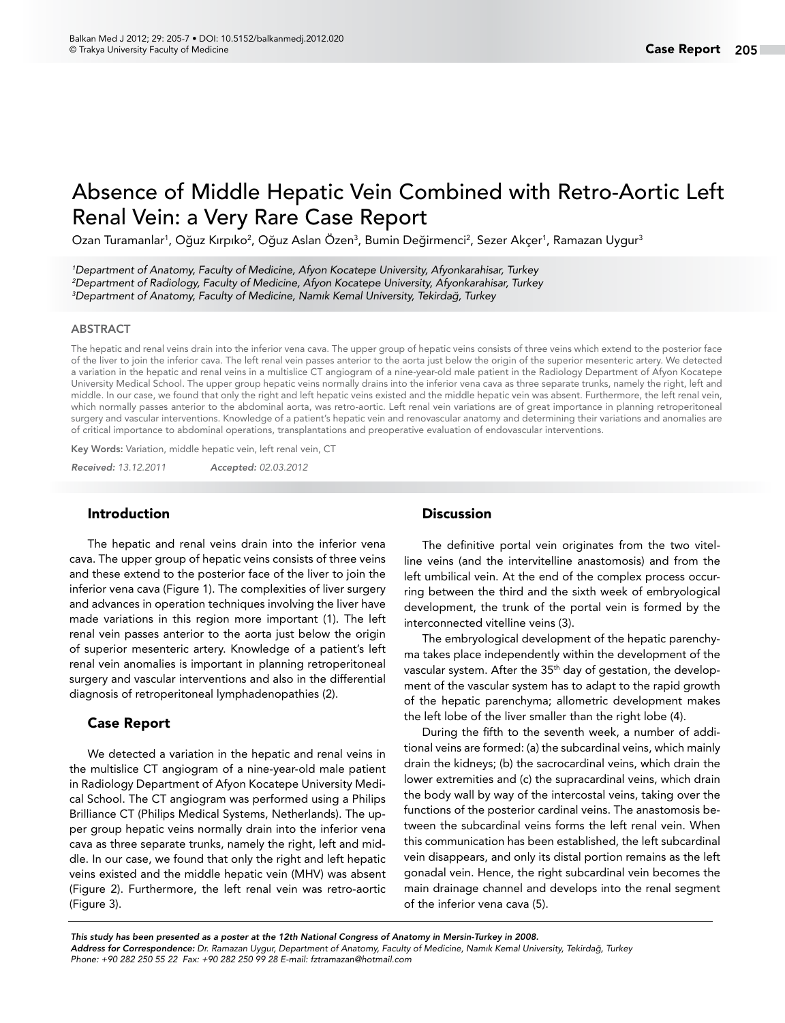# Absence of Middle Hepatic Vein Combined with Retro-Aortic Left Renal Vein: a Very Rare Case Report

Ozan Turamanlar<sup>1</sup>, Oğuz Kırpıko<sup>2</sup>, Oğuz Aslan Ozen<sup>3</sup>, Bumin Değirmenci<sup>2</sup>, Sezer Akçer<sup>1</sup>, Ramazan Uygur<sup>3</sup>

*1 Department of Anatomy, Faculty of Medicine, Afyon Kocatepe University, Afyonkarahisar, Turkey 2 Department of Radiology, Faculty of Medicine, Afyon Kocatepe University, Afyonkarahisar, Turkey 3 Department of Anatomy, Faculty of Medicine, Namık Kemal University, Tekirdağ, Turkey*

#### ABSTRACT

The hepatic and renal veins drain into the inferior vena cava. The upper group of hepatic veins consists of three veins which extend to the posterior face of the liver to join the inferior cava. The left renal vein passes anterior to the aorta just below the origin of the superior mesenteric artery. We detected a variation in the hepatic and renal veins in a multislice CT angiogram of a nine-year-old male patient in the Radiology Department of Afyon Kocatepe University Medical School. The upper group hepatic veins normally drains into the inferior vena cava as three separate trunks, namely the right, left and middle. In our case, we found that only the right and left hepatic veins existed and the middle hepatic vein was absent. Furthermore, the left renal vein, which normally passes anterior to the abdominal aorta, was retro-aortic. Left renal vein variations are of great importance in planning retroperitoneal surgery and vascular interventions. Knowledge of a patient's hepatic vein and renovascular anatomy and determining their variations and anomalies are of critical importance to abdominal operations, transplantations and preoperative evaluation of endovascular interventions.

Key Words: Variation, middle hepatic vein, left renal vein, CT

*Received: 13.12.2011 Accepted: 02.03.2012*

### Introduction

The hepatic and renal veins drain into the inferior vena cava. The upper group of hepatic veins consists of three veins and these extend to the posterior face of the liver to join the inferior vena cava (Figure 1). The complexities of liver surgery and advances in operation techniques involving the liver have made variations in this region more important (1). The left renal vein passes anterior to the aorta just below the origin of superior mesenteric artery. Knowledge of a patient's left renal vein anomalies is important in planning retroperitoneal surgery and vascular interventions and also in the differential diagnosis of retroperitoneal lymphadenopathies (2).

## Case Report

We detected a variation in the hepatic and renal veins in the multislice CT angiogram of a nine-year-old male patient in Radiology Department of Afyon Kocatepe University Medical School. The CT angiogram was performed using a Philips Brilliance CT (Philips Medical Systems, Netherlands). The upper group hepatic veins normally drain into the inferior vena cava as three separate trunks, namely the right, left and middle. In our case, we found that only the right and left hepatic veins existed and the middle hepatic vein (MHV) was absent (Figure 2). Furthermore, the left renal vein was retro-aortic (Figure 3).

# **Discussion**

The definitive portal vein originates from the two vitelline veins (and the intervitelline anastomosis) and from the left umbilical vein. At the end of the complex process occurring between the third and the sixth week of embryological development, the trunk of the portal vein is formed by the interconnected vitelline veins (3).

The embryological development of the hepatic parenchyma takes place independently within the development of the vascular system. After the 35<sup>th</sup> day of gestation, the development of the vascular system has to adapt to the rapid growth of the hepatic parenchyma; allometric development makes the left lobe of the liver smaller than the right lobe (4).

During the fifth to the seventh week, a number of additional veins are formed: (a) the subcardinal veins, which mainly drain the kidneys; (b) the sacrocardinal veins, which drain the lower extremities and (c) the supracardinal veins, which drain the body wall by way of the intercostal veins, taking over the functions of the posterior cardinal veins. The anastomosis between the subcardinal veins forms the left renal vein. When this communication has been established, the left subcardinal vein disappears, and only its distal portion remains as the left gonadal vein. Hence, the right subcardinal vein becomes the main drainage channel and develops into the renal segment of the inferior vena cava (5).

*Address for Correspondence: Dr. Ramazan Uygur, Department of Anatomy, Faculty of Medicine, Namık Kemal University, Tekirdağ, Turkey Phone: +90 282 250 55 22 Fax: +90 282 250 99 28 E-mail: fztramazan@hotmail.com This study has been presented as a poster at the 12th National Congress of Anatomy in Mersin-Turkey in 2008.*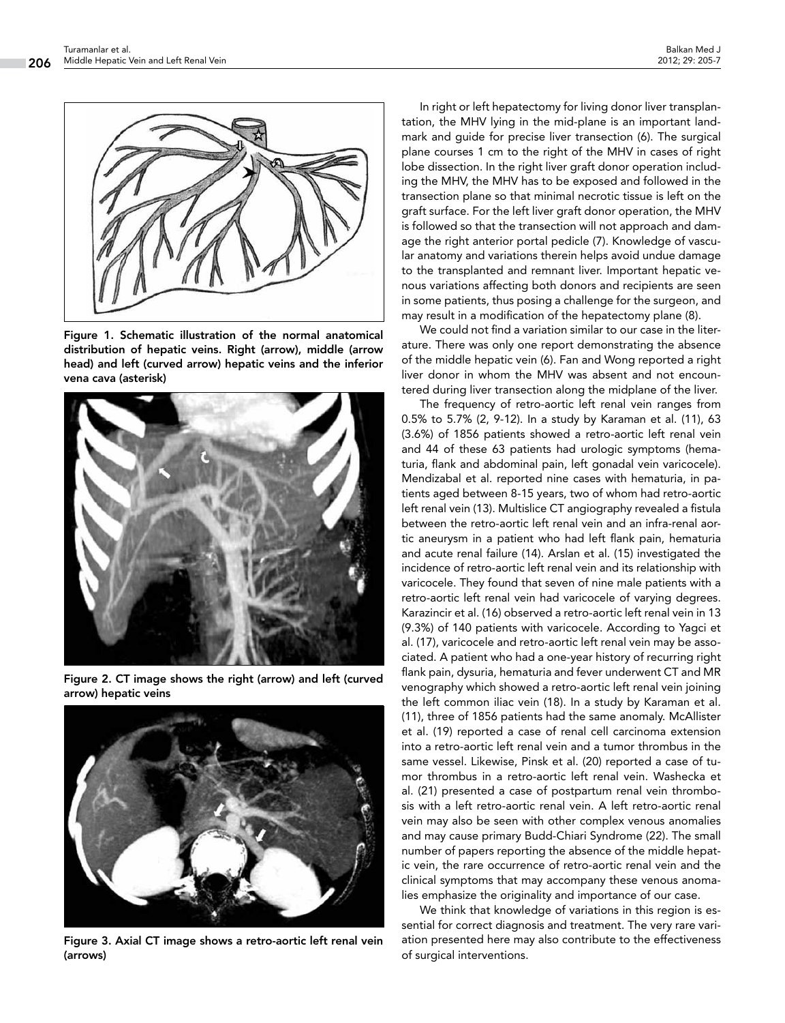

Figure 1. Schematic illustration of the normal anatomical distribution of hepatic veins. Right (arrow), middle (arrow head) and left (curved arrow) hepatic veins and the inferior vena cava (asterisk)



Figure 2. CT image shows the right (arrow) and left (curved arrow) hepatic veins



Figure 3. Axial CT image shows a retro-aortic left renal vein (arrows)

In right or left hepatectomy for living donor liver transplantation, the MHV lying in the mid-plane is an important landmark and guide for precise liver transection (6). The surgical plane courses 1 cm to the right of the MHV in cases of right lobe dissection. In the right liver graft donor operation including the MHV, the MHV has to be exposed and followed in the transection plane so that minimal necrotic tissue is left on the graft surface. For the left liver graft donor operation, the MHV is followed so that the transection will not approach and damage the right anterior portal pedicle (7). Knowledge of vascular anatomy and variations therein helps avoid undue damage to the transplanted and remnant liver. Important hepatic venous variations affecting both donors and recipients are seen in some patients, thus posing a challenge for the surgeon, and may result in a modification of the hepatectomy plane (8).

We could not find a variation similar to our case in the literature. There was only one report demonstrating the absence of the middle hepatic vein (6). Fan and Wong reported a right liver donor in whom the MHV was absent and not encountered during liver transection along the midplane of the liver.

The frequency of retro-aortic left renal vein ranges from 0.5% to 5.7% (2, 9-12). In a study by Karaman et al. (11), 63 (3.6%) of 1856 patients showed a retro-aortic left renal vein and 44 of these 63 patients had urologic symptoms (hematuria, flank and abdominal pain, left gonadal vein varicocele). Mendizabal et al. reported nine cases with hematuria, in patients aged between 8-15 years, two of whom had retro-aortic left renal vein (13). Multislice CT angiography revealed a fistula between the retro-aortic left renal vein and an infra-renal aortic aneurysm in a patient who had left flank pain, hematuria and acute renal failure (14). Arslan et al. (15) investigated the incidence of retro-aortic left renal vein and its relationship with varicocele. They found that seven of nine male patients with a retro-aortic left renal vein had varicocele of varying degrees. Karazincir et al. (16) observed a retro-aortic left renal vein in 13 (9.3%) of 140 patients with varicocele. According to Yagci et al. (17), varicocele and retro-aortic left renal vein may be associated. A patient who had a one-year history of recurring right flank pain, dysuria, hematuria and fever underwent CT and MR venography which showed a retro-aortic left renal vein joining the left common iliac vein (18). In a study by Karaman et al. (11), three of 1856 patients had the same anomaly. McAllister et al. (19) reported a case of renal cell carcinoma extension into a retro-aortic left renal vein and a tumor thrombus in the same vessel. Likewise, Pinsk et al. (20) reported a case of tumor thrombus in a retro-aortic left renal vein. Washecka et al. (21) presented a case of postpartum renal vein thrombosis with a left retro-aortic renal vein. A left retro-aortic renal vein may also be seen with other complex venous anomalies and may cause primary Budd-Chiari Syndrome (22). The small number of papers reporting the absence of the middle hepatic vein, the rare occurrence of retro-aortic renal vein and the clinical symptoms that may accompany these venous anomalies emphasize the originality and importance of our case.

We think that knowledge of variations in this region is essential for correct diagnosis and treatment. The very rare variation presented here may also contribute to the effectiveness of surgical interventions.